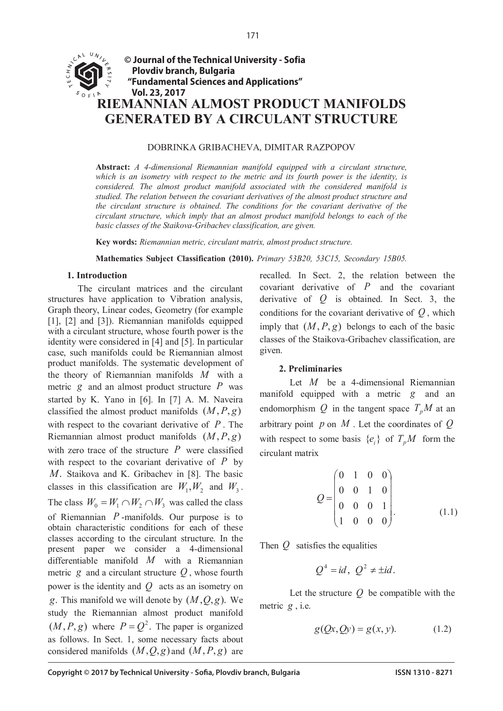

#### DOBRINKA GRIBACHEVA, DIMITAR RAZPOPOV

**Abstract:** *A 4-dimensional Riemannian manifold equipped with a circulant structure, which is an isometry with respect to the metric and its fourth power is the identity, is considered. The almost product manifold associated with the considered manifold is studied. The relation between the covariant derivatives of the almost product structure and the circulant structure is obtained. The conditions for the covariant derivative of the circulant structure, which imply that an almost product manifold belongs to each of the basic classes of the Staikova-Gribachev classification, are given.*

**Key words:** *Riemannian metric, circulant matrix, almost product structure.*

**Mathematics Subject Classification (2010).** *Primary 53B20, 53C15, Secondary 15B05.*

### **1. Introduction**

The circulant matrices and the circulant structures have application to Vibration analysis, Graph theory, Linear codes, Geometry (for example [1], [2] and [3]). Riemannian manifolds equipped with a circulant structure, whose fourth power is the identity were considered in [4] and [5]. In particular case, such manifolds could be Riemannian almost product manifolds. The systematic development of the theory of Riemannian manifolds *M* with a metric *g* and an almost product structure *P* was started by K. Yano in [6]. In [7] A. M. Naveira classified the almost product manifolds  $(M, P, g)$ with respect to the covariant derivative of *P* . The Riemannian almost product manifolds  $(M, P, g)$ with zero trace of the structure *P* were classified with respect to the covariant derivative of *P* by *M*. Staikova and K. Gribachev in [8]. The basic classes in this classification are  $W_1, W_2$  and  $W_3$ . The class  $W_0 = W_1 \cap W_2 \cap W_3$  was called the class of Riemannian *P* -manifolds. Our purpose is to obtain characteristic conditions for each of these classes according to the circulant structure. In the present paper we consider a 4-dimensional differentiable manifold *M* with a Riemannian metric  $g$  and a circulant structure  $Q$ , whose fourth power is the identity and *Q* acts as an isometry on *g*. This manifold we will denote by  $(M, Q, g)$ . We study the Riemannian almost product manifold  $(M, P, g)$  where  $P = Q^2$ . The paper is organized as follows. In Sect. 1, some necessary facts about considered manifolds  $(M, Q, g)$  and  $(M, P, g)$  are

recalled. In Sect. 2, the relation between the covariant derivative of *P* and the covariant derivative of *Q* is obtained. In Sect. 3, the conditions for the covariant derivative of *Q* , which imply that  $(M, P, g)$  belongs to each of the basic classes of the Staikova-Gribachev classification, are given.

### **2. Preliminaries**

Let *M* be a 4-dimensional Riemannian manifold equipped with a metric *g* and an endomorphism  $Q$  in the tangent space  $T_pM$  at an arbitrary point *p* on *M* . Let the coordinates of *Q* with respect to some basis  $\{e_i\}$  of  $T_pM$  form the circulant matrix

$$
Q = \begin{pmatrix} 0 & 1 & 0 & 0 \\ 0 & 0 & 1 & 0 \\ 0 & 0 & 0 & 1 \\ 1 & 0 & 0 & 0 \end{pmatrix}.
$$
 (1.1)

Then *Q* satisfies the equalities

$$
Q^4 = id, \ Q^2 \neq \pm id.
$$

Let the structure *Q* be compatible with the metric *g* , i.e.

$$
g(Qx, Qy) = g(x, y). \tag{1.2}
$$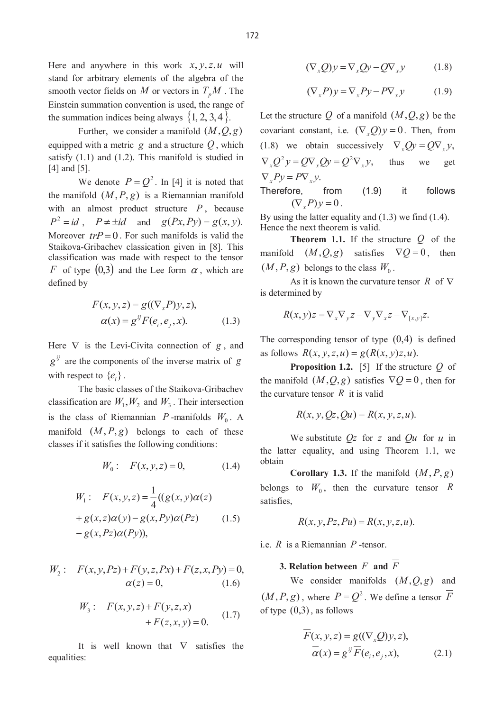Here and anywhere in this work  $x, y, z, u$  will stand for arbitrary elements of the algebra of the smooth vector fields on *M* or vectors in  $T_pM$ . The Einstein summation convention is used, the range of the summation indices being always  $\{1, 2, 3, 4\}$ .

Further, we consider a manifold  $(M, Q, g)$ equipped with a metric  $g$  and a structure  $Q$ , which satisfy (1.1) and (1.2). This manifold is studied in [4] and [5].

We denote  $P = Q^2$ . In [4] it is noted that the manifold  $(M, P, g)$  is a Riemannian manifold with an almost product structure *P* , because  $P^2 = id$ ,  $P \neq \pm id$  and  $g(Px, Py) = g(x, y)$ . Moreover  $trP = 0$ . For such manifolds is valid the Staikova-Gribachev classication given in [8]. This classification was made with respect to the tensor *F* of type  $(0,3)$  and the Lee form  $\alpha$ , which are defined by

$$
F(x, y, z) = g((\nabla_x P)y, z),
$$
  
\n
$$
\alpha(x) = g^{ij} F(e_i, e_j, x).
$$
\n(1.3)

Here  $\nabla$  is the Levi-Civita connection of *g*, and  $g^{ij}$  are the components of the inverse matrix of *g* with respect to  ${e_i}$ .

The basic classes of the Staikova-Gribachev classification are  $W_1, W_2$  and  $W_3$ . Their intersection is the class of Riemannian *P* -manifolds  $W_0$ . A manifold  $(M, P, g)$  belongs to each of these classes if it satisfies the following conditions:

$$
W_0: \quad F(x, y, z) = 0,\tag{1.4}
$$

$$
W_1: F(x, y, z) = \frac{1}{4}((g(x, y)\alpha(z)
$$

$$
+ g(x, z)\alpha(y) - g(x, Py)\alpha(Pz)
$$

$$
- g(x, Pz)\alpha(Py)),
$$
(1.5)

$$
W_2: \quad F(x, y, Pz) + F(y, z, Px) + F(z, x, Py) = 0, \n\alpha(z) = 0, \tag{1.6}
$$

$$
W_3: F(x, y, z) + F(y, z, x) + F(z, x, y) = 0.
$$
 (1.7)

It is well known that  $\nabla$  satisfies the equalities:

$$
(\nabla_x Q)y = \nabla_x Qy - Q\nabla_x y \tag{1.8}
$$

$$
(\nabla_x P)y = \nabla_x Py - P \nabla_x y \tag{1.9}
$$

Let the structure Q of a manifold  $(M, Q, g)$  be the covariant constant, i.e.  $(\nabla_x Q)y = 0$ . Then, from (1.8) we obtain successively  $\nabla \cdot Qy = Q\nabla \cdot y$ ,  $\nabla_x Q^2 y = Q \nabla_x Q y = Q^2 \nabla_x y$ , thus we get  $\nabla F_y = P \nabla_y y$ .

Therefore, from (1.9) it follows  $(\nabla P)\nu = 0$ .

By using the latter equality and (1.3) we find (1.4). Hence the next theorem is valid.

**Theorem 1.1.** If the structure *Q* of the manifold  $(M, Q, g)$  satisfies  $\nabla Q = 0$ , then  $(M, P, g)$  belongs to the class  $W_0$ .

As it is known the curvature tensor  $\overline{R}$  of  $\nabla$ is determined by

$$
R(x, y)z = \nabla_x \nabla_y z - \nabla_y \nabla_x z - \nabla_{[x, y]} z.
$$

The corresponding tensor of type  $(0,4)$  is defined as follows  $R(x, y, z, u) = g(R(x, y)z, u)$ .

**Proposition 1.2.** [5] If the structure *Q* of the manifold  $(M, Q, g)$  satisfies  $\nabla Q = 0$ , then for the curvature tensor  $R$  it is valid

$$
R(x, y, Qz, Qu) = R(x, y, z, u).
$$

We substitute *Qz* for *z* and *Qu* for *<sup>u</sup>* in the latter equality, and using Theorem 1.1, we obtain

**Corollary 1.3.** If the manifold  $(M, P, g)$ belongs to  $W_0$ , then the curvature tensor R satisfies,

$$
R(x, y, Pz, Pu) = R(x, y, z, u).
$$

i.e. *R* is a Riemannian *P* -tensor.

## **3. Relation between**  $F$  **and**  $\overline{F}$

We consider manifolds  $(M, Q, g)$  and  $(M, P, g)$ , where  $P = Q^2$ . We define a tensor  $\overline{F}$ of type  $(0,3)$ , as follows

$$
\overline{F}(x, y, z) = g((\nabla_x Q)y, z),
$$
  
\n
$$
\overline{\alpha}(x) = g^{ij} \overline{F}(e_i, e_j, x),
$$
\n(2.1)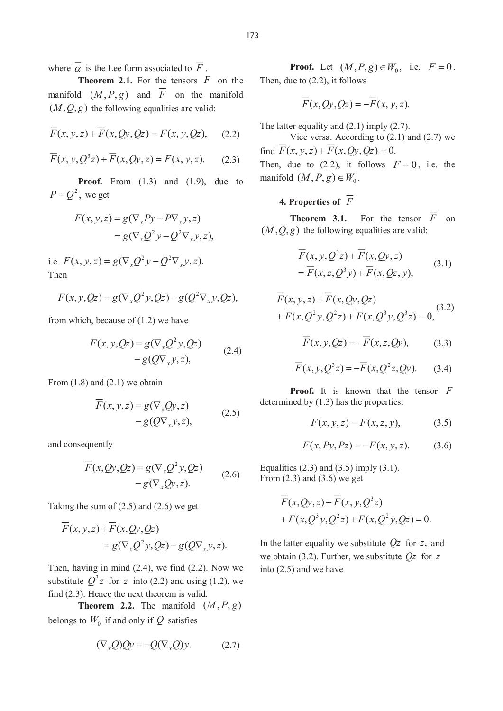where  $\overline{\alpha}$  is the Lee form associated to  $\overline{F}$ .

**Theorem 2.1.** For the tensors *F* on the manifold  $(M, P, g)$  and  $\overline{F}$  on the manifold  $(M, Q, g)$  the following equalities are valid:

$$
\overline{F}(x, y, z) + \overline{F}(x, Qy, Qz) = F(x, y, Qz), \quad (2.2)
$$

$$
\overline{F}(x, y, Q^3 z) + \overline{F}(x, Qy, z) = F(x, y, z). \tag{2.3}
$$

**Proof.** From (1.3) and (1.9), due to  $P = Q^2$ , we get

$$
F(x, y, z) = g(\nabla_x P y - P \nabla_x y, z)
$$
  
=  $g(\nabla_x Q^2 y - Q^2 \nabla_x y, z),$ 

i.e.  $F(x, y, z) = g(\nabla_x Q^2 y - Q^2 \nabla_x y, z)$ . Then

$$
F(x, y, Qz) = g(\nabla_x Q^2 y, Qz) - g(Q^2 \nabla_x y, Qz),
$$

from which, because of (1.2) we have

$$
F(x, y, Qz) = g(\nabla_x Q^2 y, Qz) - g(Q\nabla_x y, z),
$$
 (2.4)

From  $(1.8)$  and  $(2.1)$  we obtain

$$
F(x, y, z) = g(\nabla_x Qy, z)
$$
  
-  $g(Q\nabla_x y, z)$ , (2.5)

and consequently

$$
F(x, Qy, Qz) = g(\nabla_x Q^2 y, Qz) - g(\nabla_x Qy, z).
$$
 (2.6)

Taking the sum of  $(2.5)$  and  $(2.6)$  we get

$$
\overline{F}(x, y, z) + \overline{F}(x, Qy, Qz)
$$
  
=  $g(\nabla_x Q^2 y, Qz) - g(Q\nabla_x y, z).$ 

Then, having in mind (2.4), we find (2.2). Now we substitute  $Q^3 z$  for *z* into (2.2) and using (1.2), we find (2.3). Hence the next theorem is valid.

**Theorem 2.2.** The manifold  $(M, P, g)$ belongs to  $W_0$  if and only if Q satisfies

$$
(\nabla_x Q)Qy = -Q(\nabla_x Q)y.
$$
 (2.7)

**Proof.** Let  $(M, P, g) \in W_0$ , i.e.  $F = 0$ . Then, due to (2.2), it follows

$$
\overline{F}(x,Qy,Qz) = -\overline{F}(x,y,z).
$$

The latter equality and  $(2.1)$  imply  $(2.7)$ .

Vice versa. According to (2.1) and (2.7) we find  $\overline{F}(x, y, z) + \overline{F}(x, Qy, Qz) = 0.$ Then, due to (2.2), it follows  $F = 0$ , i.e. the

manifold  $(M, P, g) \in W_0$ .

# **4. Properties of** *F*

**Theorem 3.1.** For the tensor  $\overline{F}$  on  $(M, Q, g)$  the following equalities are valid:

$$
\overline{F}(x, y, Q^3 z) + \overline{F}(x, Qy, z)
$$
  
=  $\overline{F}(x, z, Q^3 y) + \overline{F}(x, Qz, y),$  (3.1)

$$
F(x, y, z) + F(x, Qy, Qz) + \overline{F}(x, Q^2y, Q^2z) + \overline{F}(x, Q^3y, Q^3z) = 0,
$$
 (3.2)

$$
\overline{F}(x, y, Qz) = -\overline{F}(x, z, Qy), \qquad (3.3)
$$

$$
\overline{F}(x, y, Q^3 z) = -\overline{F}(x, Q^2 z, Qy). \tag{3.4}
$$

**Proof.** It is known that the tensor *F* determined by (1.3) has the properties:

$$
F(x, y, z) = F(x, z, y),
$$
 (3.5)

$$
F(x, Py, Pz) = -F(x, y, z).
$$
 (3.6)

Equalities  $(2.3)$  and  $(3.5)$  imply  $(3.1)$ . From (2.3) and (3.6) we get

$$
\overline{F}(x,Qy,z) + \overline{F}(x,y,Q^3z)
$$
  
+
$$
\overline{F}(x,Q^3y,Q^2z) + \overline{F}(x,Q^2y,Qz) = 0.
$$

In the latter equality we substitute *Qz* for *z*, and we obtain (3.2). Further, we substitute *Qz* for *<sup>z</sup>* into (2.5) and we have